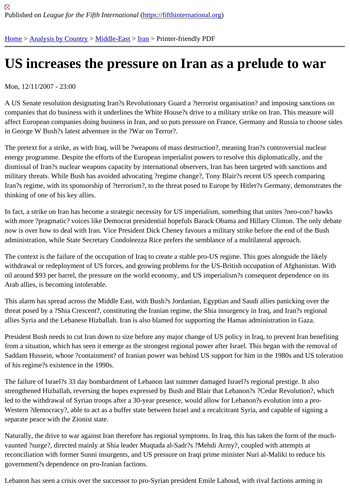## [US](https://fifthinternational.org/) [increases](https://fifthinternational.org/category/1) [the pre](https://fifthinternational.org/category/1/178)[ss](https://fifthinternational.org/category/1/178/182)ure on Iran as a prelude to war

Mon, 12/11/2007 - 23:00

A US Senate resolution designating Iran?s Revolutionary Guard a ?terrorist organisation? and imposing sanctions on companies that do business with it underlines the White House?s drive to a military strike on Iran. This measure w affect European companies doing business in Iran, and so puts pressure on France, Germany and Russia to choo in George W Bush?s latest adventure in the ?War on Terror?.

The pretext for a strike, as with Iraq, will be ?weapons of mass destruction?, meaning Iran?s controversial nuclear energy programme. Despite the efforts of the European imperialist powers to resolve this diplomatically, and the dismissal of Iran?s nuclear weapons capacity by international observers, Iran has been targeted with sanctions an military threats. While Bush has avoided advocating ?regime change?, Tony Blair?s recent US speech comparing Iran?s regime, with its sponsorship of ?terrorism?, to the threat posed to Europe by Hitler?s Germany, demonstrat thinking of one of his key allies.

In fact, a strike on Iran has become a strategic necessity for US imperialism, something that unites ?neo-con? hav with more ?pragmatic? voices like Democrat presidential hopefuls Barack Obama and Hillary Clinton. The only del now is over how to deal with Iran. Vice President Dick Cheney favours a military strike before the end of the Bush administration, while State Secretary Condoleezza Rice prefers the semblance of a multilateral approach.

The context is the failure of the occupation of Iraq to create a stable pro-US regime. This goes alongside the likely withdrawal or redeployment of US forces, and growing problems for the US-British occupation of Afghanistan. With oil around \$93 per barrel, the pressure on the world economy, and US imperialism?s consequent dependence on Arab allies, is becoming intolerable.

This alarm has spread across the Middle East, with Bush?s Jordanian, Egyptian and Saudi allies panicking over th threat posed by a ?Shia Crescent?, constituting the Iranian regime, the Shia insurgency in Iraq, and Iran?s regiona allies Syria and the Lebanese Hizballah. Iran is also blamed for supporting the Hamas administration in Gaza.

President Bush needs to cut Iran down to size before any major change of US policy in Iraq, to prevent Iran benefi from a situation, which has seen it emerge as the strongest regional power after Israel. This began with the remov Saddam Hussein, whose ?containment? of Iranian power was behind US support for him in the 1980s and US tole of his regime?s existence in the 1990s.

The failure of Israel?s 33 day bombardment of Lebanon last summer damaged Israel?s regional prestige. It also strengthened Hizballah, reversing the hopes expressed by Bush and Blair that Lebanon?s ?Cedar Revolution?, wl led to the withdrawal of Syrian troops after a 30-year presence, would allow for Lebanon?s evolution into a pro-Western ?democracy?, able to act as a buffer state between Israel and a recalcitrant Syria, and capable of signing separate peace with the Zionist state.

Naturally, the drive to war against Iran therefore has regional symptoms. In Iraq, this has taken the form of the mu vaunted ?surge?, directed mainly at Shia leader Muqtada al-Sadr?s ?Mehdi Army?, coupled with attempts at reconciliation with former Sunni insurgents, and US pressure on Iraqi prime minister Nuri al-Maliki to reduce his government?s dependence on pro-Iranian factions.

Lebanon has seen a crisis over the successor to pro-Syrian president Emile Lahoud, with rival factions arming in